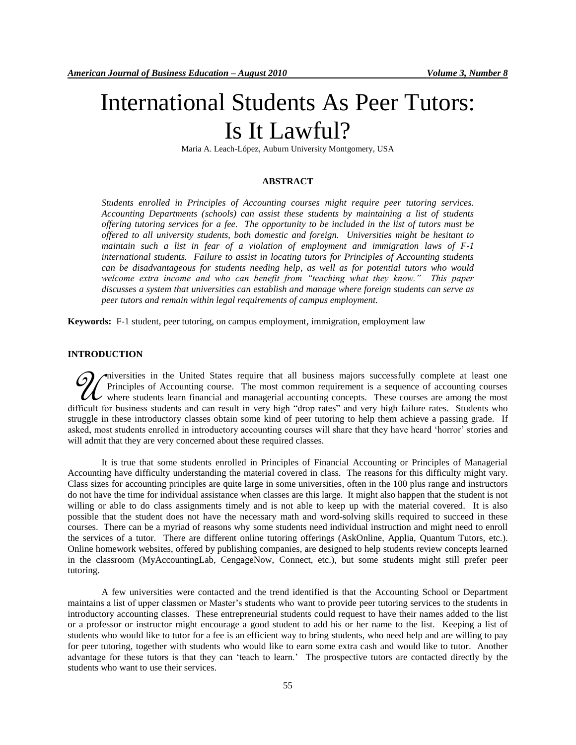# International Students As Peer Tutors: Is It Lawful?

Maria A. Leach-López, Auburn University Montgomery, USA

#### **ABSTRACT**

*Students enrolled in Principles of Accounting courses might require peer tutoring services. Accounting Departments (schools) can assist these students by maintaining a list of students offering tutoring services for a fee. The opportunity to be included in the list of tutors must be offered to all university students, both domestic and foreign. Universities might be hesitant to maintain such a list in fear of a violation of employment and immigration laws of F-1 international students. Failure to assist in locating tutors for Principles of Accounting students can be disadvantageous for students needing help, as well as for potential tutors who would*  welcome extra income and who can benefit from "teaching what they know." This paper *discusses a system that universities can establish and manage where foreign students can serve as peer tutors and remain within legal requirements of campus employment.*

**Keywords:** F-1 student, peer tutoring, on campus employment, immigration, employment law

#### **INTRODUCTION**

niversities in the United States require that all business majors successfully complete at least one Principles of Accounting course. The most common requirement is a sequence of accounting courses **W** inversities in the United States require that all business majors successfully complete at least one Principles of Accounting course. The most common requirement is a sequence of accounting courses where students learn difficult for business students and can result in very high "drop rates" and very high failure rates. Students who struggle in these introductory classes obtain some kind of peer tutoring to help them achieve a passing grade. If asked, most students enrolled in introductory accounting courses will share that they have heard "horror" stories and will admit that they are very concerned about these required classes.

It is true that some students enrolled in Principles of Financial Accounting or Principles of Managerial Accounting have difficulty understanding the material covered in class. The reasons for this difficulty might vary. Class sizes for accounting principles are quite large in some universities, often in the 100 plus range and instructors do not have the time for individual assistance when classes are this large. It might also happen that the student is not willing or able to do class assignments timely and is not able to keep up with the material covered. It is also possible that the student does not have the necessary math and word-solving skills required to succeed in these courses. There can be a myriad of reasons why some students need individual instruction and might need to enroll the services of a tutor. There are different online tutoring offerings (AskOnline, Applia, Quantum Tutors, etc.). Online homework websites, offered by publishing companies, are designed to help students review concepts learned in the classroom (MyAccountingLab, CengageNow, Connect, etc.), but some students might still prefer peer tutoring.

A few universities were contacted and the trend identified is that the Accounting School or Department maintains a list of upper classmen or Master"s students who want to provide peer tutoring services to the students in introductory accounting classes. These entrepreneurial students could request to have their names added to the list or a professor or instructor might encourage a good student to add his or her name to the list. Keeping a list of students who would like to tutor for a fee is an efficient way to bring students, who need help and are willing to pay for peer tutoring, together with students who would like to earn some extra cash and would like to tutor. Another advantage for these tutors is that they can "teach to learn." The prospective tutors are contacted directly by the students who want to use their services.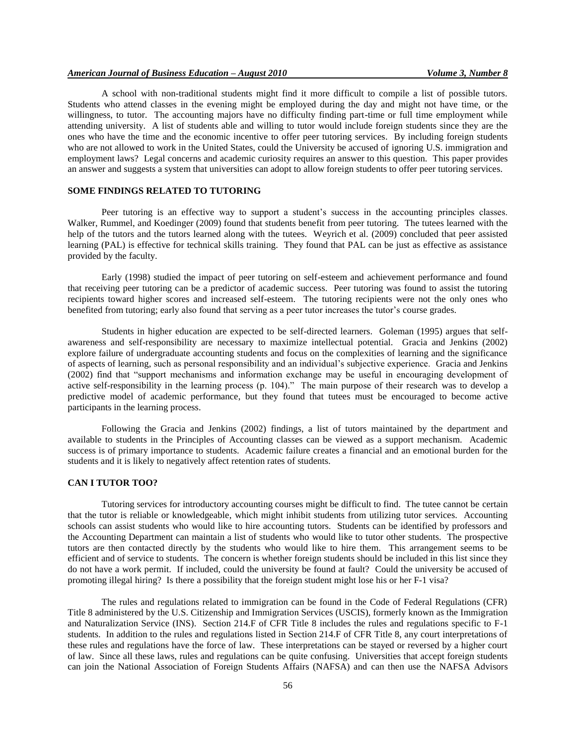A school with non-traditional students might find it more difficult to compile a list of possible tutors. Students who attend classes in the evening might be employed during the day and might not have time, or the willingness, to tutor. The accounting majors have no difficulty finding part-time or full time employment while attending university. A list of students able and willing to tutor would include foreign students since they are the ones who have the time and the economic incentive to offer peer tutoring services. By including foreign students who are not allowed to work in the United States, could the University be accused of ignoring U.S. immigration and employment laws? Legal concerns and academic curiosity requires an answer to this question. This paper provides an answer and suggests a system that universities can adopt to allow foreign students to offer peer tutoring services.

### **SOME FINDINGS RELATED TO TUTORING**

Peer tutoring is an effective way to support a student's success in the accounting principles classes. Walker, Rummel, and Koedinger (2009) found that students benefit from peer tutoring. The tutees learned with the help of the tutors and the tutors learned along with the tutees. Weyrich et al. (2009) concluded that peer assisted learning (PAL) is effective for technical skills training. They found that PAL can be just as effective as assistance provided by the faculty.

Early (1998) studied the impact of peer tutoring on self-esteem and achievement performance and found that receiving peer tutoring can be a predictor of academic success. Peer tutoring was found to assist the tutoring recipients toward higher scores and increased self-esteem. The tutoring recipients were not the only ones who benefited from tutoring; early also found that serving as a peer tutor increases the tutor's course grades.

Students in higher education are expected to be self-directed learners. Goleman (1995) argues that selfawareness and self-responsibility are necessary to maximize intellectual potential. Gracia and Jenkins (2002) explore failure of undergraduate accounting students and focus on the complexities of learning and the significance of aspects of learning, such as personal responsibility and an individual"s subjective experience. Gracia and Jenkins (2002) find that "support mechanisms and information exchange may be useful in encouraging development of active self-responsibility in the learning process (p. 104)." The main purpose of their research was to develop a predictive model of academic performance, but they found that tutees must be encouraged to become active participants in the learning process.

Following the Gracia and Jenkins (2002) findings, a list of tutors maintained by the department and available to students in the Principles of Accounting classes can be viewed as a support mechanism. Academic success is of primary importance to students. Academic failure creates a financial and an emotional burden for the students and it is likely to negatively affect retention rates of students.

## **CAN I TUTOR TOO?**

Tutoring services for introductory accounting courses might be difficult to find. The tutee cannot be certain that the tutor is reliable or knowledgeable, which might inhibit students from utilizing tutor services. Accounting schools can assist students who would like to hire accounting tutors. Students can be identified by professors and the Accounting Department can maintain a list of students who would like to tutor other students. The prospective tutors are then contacted directly by the students who would like to hire them. This arrangement seems to be efficient and of service to students. The concern is whether foreign students should be included in this list since they do not have a work permit. If included, could the university be found at fault? Could the university be accused of promoting illegal hiring? Is there a possibility that the foreign student might lose his or her F-1 visa?

The rules and regulations related to immigration can be found in the Code of Federal Regulations (CFR) Title 8 administered by the U.S. Citizenship and Immigration Services (USCIS), formerly known as the Immigration and Naturalization Service (INS). Section 214.F of CFR Title 8 includes the rules and regulations specific to F-1 students. In addition to the rules and regulations listed in Section 214.F of CFR Title 8, any court interpretations of these rules and regulations have the force of law. These interpretations can be stayed or reversed by a higher court of law. Since all these laws, rules and regulations can be quite confusing. Universities that accept foreign students can join the National Association of Foreign Students Affairs (NAFSA) and can then use the NAFSA Advisors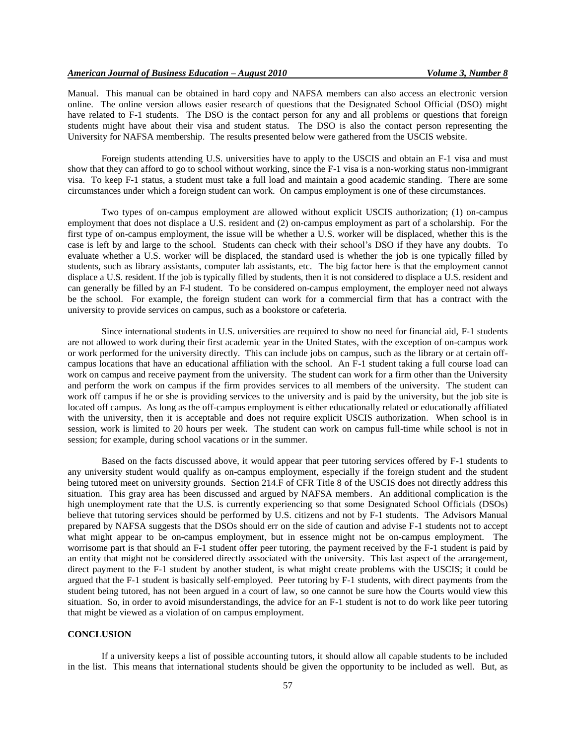Manual. This manual can be obtained in hard copy and NAFSA members can also access an electronic version online. The online version allows easier research of questions that the Designated School Official (DSO) might have related to F-1 students. The DSO is the contact person for any and all problems or questions that foreign students might have about their visa and student status. The DSO is also the contact person representing the University for NAFSA membership. The results presented below were gathered from the USCIS website.

Foreign students attending U.S. universities have to apply to the USCIS and obtain an F-1 visa and must show that they can afford to go to school without working, since the F-1 visa is a non-working status non-immigrant visa. To keep F-1 status, a student must take a full load and maintain a good academic standing. There are some circumstances under which a foreign student can work. On campus employment is one of these circumstances.

Two types of on-campus employment are allowed without explicit USCIS authorization; (1) on-campus employment that does not displace a U.S. resident and (2) on-campus employment as part of a scholarship. For the first type of on-campus employment, the issue will be whether a U.S. worker will be displaced, whether this is the case is left by and large to the school. Students can check with their school"s DSO if they have any doubts. To evaluate whether a U.S. worker will be displaced, the standard used is whether the job is one typically filled by students, such as library assistants, computer lab assistants, etc. The big factor here is that the employment cannot displace a U.S. resident. If the job is typically filled by students, then it is not considered to displace a U.S. resident and can generally be filled by an F-l student. To be considered on-campus employment, the employer need not always be the school. For example, the foreign student can work for a commercial firm that has a contract with the university to provide services on campus, such as a bookstore or cafeteria.

Since international students in U.S. universities are required to show no need for financial aid, F-1 students are not allowed to work during their first academic year in the United States, with the exception of on-campus work or work performed for the university directly. This can include jobs on campus, such as the library or at certain offcampus locations that have an educational affiliation with the school. An F-1 student taking a full course load can work on campus and receive payment from the university. The student can work for a firm other than the University and perform the work on campus if the firm provides services to all members of the university. The student can work off campus if he or she is providing services to the university and is paid by the university, but the job site is located off campus. As long as the off-campus employment is either educationally related or educationally affiliated with the university, then it is acceptable and does not require explicit USCIS authorization. When school is in session, work is limited to 20 hours per week. The student can work on campus full-time while school is not in session; for example, during school vacations or in the summer.

Based on the facts discussed above, it would appear that peer tutoring services offered by F-1 students to any university student would qualify as on-campus employment, especially if the foreign student and the student being tutored meet on university grounds. Section 214.F of CFR Title 8 of the USCIS does not directly address this situation. This gray area has been discussed and argued by NAFSA members. An additional complication is the high unemployment rate that the U.S. is currently experiencing so that some Designated School Officials (DSOs) believe that tutoring services should be performed by U.S. citizens and not by F-1 students. The Advisors Manual prepared by NAFSA suggests that the DSOs should err on the side of caution and advise F-1 students not to accept what might appear to be on-campus employment, but in essence might not be on-campus employment. The worrisome part is that should an F-1 student offer peer tutoring, the payment received by the F-1 student is paid by an entity that might not be considered directly associated with the university. This last aspect of the arrangement, direct payment to the F-1 student by another student, is what might create problems with the USCIS; it could be argued that the F-1 student is basically self-employed. Peer tutoring by F-1 students, with direct payments from the student being tutored, has not been argued in a court of law, so one cannot be sure how the Courts would view this situation. So, in order to avoid misunderstandings, the advice for an F-1 student is not to do work like peer tutoring that might be viewed as a violation of on campus employment.

## **CONCLUSION**

If a university keeps a list of possible accounting tutors, it should allow all capable students to be included in the list. This means that international students should be given the opportunity to be included as well. But, as